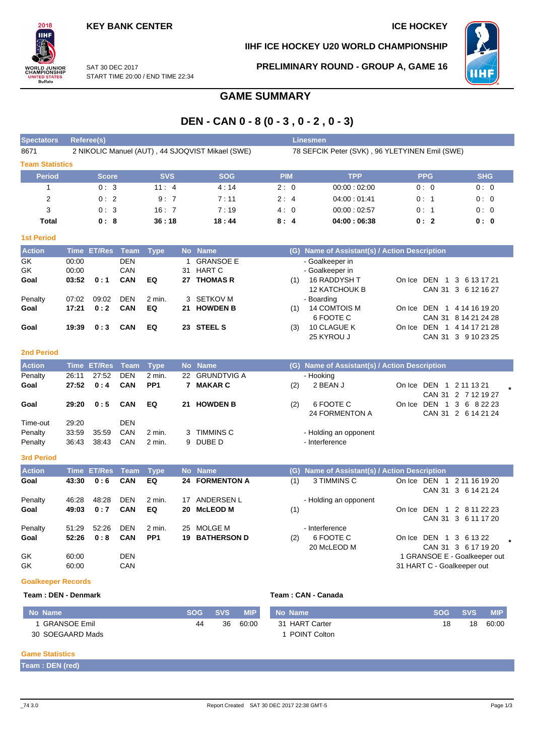

# **IIHF ICE HOCKEY U20 WORLD CHAMPIONSHIP**

**PRELIMINARY ROUND - GROUP A, GAME 16**



SAT 30 DEC 2017 START TIME 20:00 / END TIME 22:34

# **GAME SUMMARY**

# **DEN - CAN 0 - 8 (0 - 3 , 0 - 2 , 0 - 3)**

| <b>Spectators</b>      | <b>Referee(s)</b><br><b>Linesmen</b>                                                               |               |                   |             |    |                                   |            |                                           |        |                                        |                                |
|------------------------|----------------------------------------------------------------------------------------------------|---------------|-------------------|-------------|----|-----------------------------------|------------|-------------------------------------------|--------|----------------------------------------|--------------------------------|
| 8671                   | 2 NIKOLIC Manuel (AUT), 44 SJOQVIST Mikael (SWE)<br>78 SEFCIK Peter (SVK), 96 YLETYINEN Emil (SWE) |               |                   |             |    |                                   |            |                                           |        |                                        |                                |
| <b>Team Statistics</b> |                                                                                                    |               |                   |             |    |                                   |            |                                           |        |                                        |                                |
| <b>Period</b>          |                                                                                                    | <b>Score</b>  |                   | <b>SVS</b>  |    | <b>SOG</b>                        | <b>PIM</b> | <b>TPP</b>                                |        | <b>PPG</b>                             | <b>SHG</b>                     |
|                        |                                                                                                    | 0:3           |                   | 11:4        |    | 4:14                              | 2:0        | 00:00:02:00                               |        | 0:0                                    | 0:0                            |
| 2                      |                                                                                                    | 0:2           |                   | 9:7         |    | 7:11                              | 2:4        | 04:00:01:41                               |        | 0:1                                    | 0:0                            |
| 3                      |                                                                                                    | 0:3           |                   | 16:7        |    | 7:19                              | 4:0        | 00:00:02:57                               |        | 0:1                                    | 0:0                            |
| <b>Total</b>           |                                                                                                    | 0:8           |                   | 36:18       |    | 18:44                             | 8:4        | 04:00:06:38                               |        | 0:2                                    | 0: 0                           |
| <b>1st Period</b>      |                                                                                                    |               |                   |             |    |                                   |            |                                           |        |                                        |                                |
| <b>Action</b>          | <b>Time</b>                                                                                        | <b>ET/Res</b> | Team              | <b>Type</b> |    | No Name                           | (G)        | Name of Assistant(s) / Action Description |        |                                        |                                |
| GK<br>GK               | 00:00<br>00:00                                                                                     |               | <b>DEN</b><br>CAN |             | 31 | <b>GRANSOE E</b><br><b>HART C</b> |            | - Goalkeeper in<br>- Goalkeeper in        |        |                                        |                                |
| Goal                   | 03:52                                                                                              | 0:1           | <b>CAN</b>        | EQ          | 27 | <b>THOMAS R</b>                   | (1)        | 16 RADDYSH T<br><b>12 KATCHOUK B</b>      | On Ice | DEN 1<br><b>CAN 31</b>                 | 3 6 13 17 21<br>3 6 12 16 27   |
| Penalty                | 07:02                                                                                              | 09:02         | <b>DEN</b>        | 2 min.      | 3  | <b>SETKOV M</b>                   |            | - Boarding                                |        |                                        |                                |
| Goal                   | 17:21                                                                                              | 0:2           | <b>CAN</b>        | EQ          | 21 | <b>HOWDEN B</b>                   | (1)        | 14 COMTOIS M<br>6 FOOTE C                 | On Ice | DEN 1<br><b>CAN 31</b>                 | 4 14 16 19 20<br>8 14 21 24 28 |
| Goal                   | 19:39                                                                                              | 0:3           | <b>CAN</b>        | EQ          | 23 | <b>STEEL S</b>                    | (3)        | 10 CLAGUE K<br>25 KYROU J                 | On Ice | DEN<br>$\overline{1}$<br><b>CAN 31</b> | 4 14 17 21 28<br>3 9 10 23 25  |
| <b>2nd Period</b>      |                                                                                                    |               |                   |             |    |                                   |            |                                           |        |                                        |                                |

| <b>Action</b>      |                | Time ET/Res Team Type |            |                  |   | No Name               |     | (G) Name of Assistant(s) / Action Description |        |                                                |  |
|--------------------|----------------|-----------------------|------------|------------------|---|-----------------------|-----|-----------------------------------------------|--------|------------------------------------------------|--|
| Penalty            | 26:11          | 27:52                 | <b>DEN</b> | 2 min.           |   | 22 GRUNDTVIG A        |     | - Hooking                                     |        |                                                |  |
| Goal               | 27:52          | 0:4                   | CAN        | PP <sub>1</sub>  |   | <b>MAKAR C</b>        | (2) | 2 BEAN J                                      |        | On Ice DEN 1 2 11 13 21<br>CAN 31 2 7 12 19 27 |  |
| Goal               | 29:20          | 0:5                   | <b>CAN</b> | EQ               |   | 21 HOWDEN B           | (2) | 6 FOOTE C<br>24 FORMENTON A                   | On Ice | DEN 1 3 6 8 22 23<br>CAN 31 2 6 14 21 24       |  |
| Time-out           | 29.20          |                       | DEN        |                  |   |                       |     |                                               |        |                                                |  |
| Penalty<br>Penalty | 33:59<br>36:43 | 35.59<br>38.43        | CAN<br>CAN | 2 min.<br>2 min. | 3 | TIMMINS C<br>9 DUBE D |     | - Holding an opponent<br>- Interference       |        |                                                |  |

### **3rd Period**

| <b>Action</b> |       | Time ET/Res Team |            | <b>Type</b>     |    | No Name               |     | (G) Name of Assistant(s) / Action Description |            |                              |
|---------------|-------|------------------|------------|-----------------|----|-----------------------|-----|-----------------------------------------------|------------|------------------------------|
| Goal          | 43:30 | 0:6              | <b>CAN</b> | EQ              |    | <b>24 FORMENTON A</b> | (1) | 3 TIMMINS C                                   | On Ice DEN | 2 11 16 19 20                |
|               |       |                  |            |                 |    |                       |     |                                               |            | CAN 31 3 6 14 21 24          |
| Penalty       | 46.28 | 48:28            | <b>DEN</b> | 2 min.          | 17 | ANDERSEN L            |     | - Holding an opponent                         |            |                              |
| Goal          | 49:03 | 0:7              | <b>CAN</b> | EQ              |    | 20 McLEOD M           | (1) |                                               | On Ice     | 1 2 8 11 22 23<br>DEN        |
|               |       |                  |            |                 |    |                       |     |                                               |            | CAN 31 3 6 11 17 20          |
| Penalty       | 51:29 | 52:26            | DEN        | 2 min.          | 25 | MOLGE M               |     | - Interference                                |            |                              |
| Goal          | 52:26 | 0:8              | <b>CAN</b> | PP <sub>1</sub> | 19 | <b>BATHERSON D</b>    | (2) | 6 FOOTE C                                     |            | On Ice DEN 1 3 6 13 22       |
|               |       |                  |            |                 |    |                       |     | 20 McLEOD M                                   |            | CAN 31 3 6 17 19 20          |
| GK            | 60:00 |                  | <b>DEN</b> |                 |    |                       |     |                                               |            | 1 GRANSOE E - Goalkeeper out |
| GK            | 60:00 |                  | CAN        |                 |    |                       |     |                                               |            | 31 HART C - Goalkeeper out   |

#### **Goalkeeper Records**

#### **Team : DEN - Denmark Team : CAN - Canada**

| No Name             | <b>SOG</b> | <b>SVS</b> | MIP.  | No Name             | <b>SOG</b> | <b>SVS</b> | <b>MIP</b> |
|---------------------|------------|------------|-------|---------------------|------------|------------|------------|
| <b>GRANSOE Emil</b> | 44         | 36         | 60:00 | 31 HART Carter      | 18         | 18         | 60:00      |
| 30 SOEGAARD Mads    |            |            |       | <b>POINT Colton</b> |            |            |            |

#### **Game Statistics**

**Team : DEN (red)**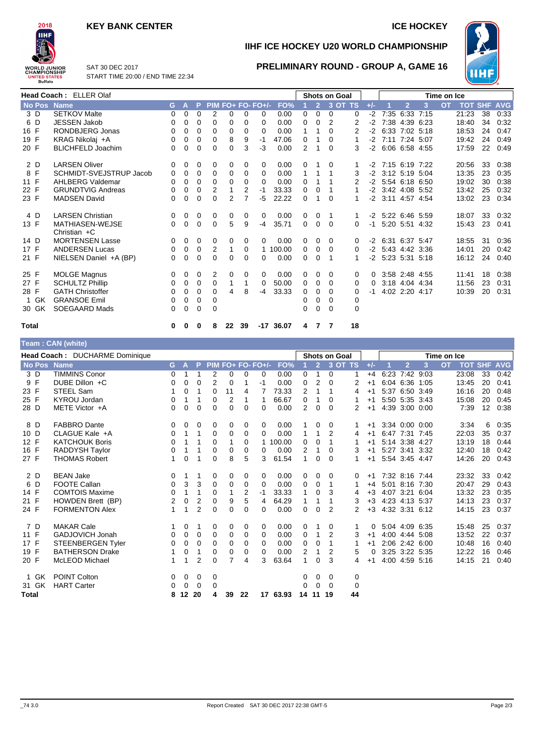# **KEY BANK CENTER ICE HOCKEY**



**Team : CAN (white)**

**IIHF ICE HOCKEY U20 WORLD CHAMPIONSHIP**

**PRELIMINARY ROUND - GROUP A, GAME 16**



SAT 30 DEC 2017 START TIME 20:00 / END TIME 22:34

| Head Coach: ELLER Olaf |                                          |              |              |          |          |               |          |                     |             | Shots on Goal |                |           |             | Time on Ice |                     |                |                   |           |                    |    |      |
|------------------------|------------------------------------------|--------------|--------------|----------|----------|---------------|----------|---------------------|-------------|---------------|----------------|-----------|-------------|-------------|---------------------|----------------|-------------------|-----------|--------------------|----|------|
| No Pos Name            |                                          | G.           | $\mathbf{A}$ | P.       |          |               |          | $PIM FO+ FO- FO+/-$ | FO%         |               | $\overline{2}$ | $3$ OT TS |             | $+/-$       |                     | $\overline{2}$ | $\overline{3}$    | <b>OT</b> | <b>TOT SHF AVG</b> |    |      |
| 3 D                    | <b>SETKOV Malte</b>                      | $\Omega$     | $\Omega$     | $\Omega$ | 2        | 0             | 0        | 0                   | 0.00        | $\Omega$      | $\Omega$       | $\Omega$  | 0           |             | $-2$ 7:35 6:33 7:15 |                |                   |           | 21:23              | 38 | 0.33 |
| 6 D                    | <b>JESSEN Jakob</b>                      | 0            | 0            | 0        | $\Omega$ | 0             | 0        | $\Omega$            | 0.00        | 0             | $\Omega$       | 2         | 2           | $-2$        |                     |                | 7:38 4:39 6:23    |           | 18:40              | 34 | 0:32 |
| 16 F                   | RONDBJERG Jonas                          | 0            | $\Omega$     | $\Omega$ | 0        | 0             | 0        | 0                   | 0.00        | 1             |                | 0         |             |             | -2 6:33 7:02 5:18   |                |                   |           | 18:53              | 24 | 0:47 |
| 19 F                   | KRAG Nikolai +A                          | $\mathbf 0$  | 0            | $\Omega$ | 0        | 8             | 9        | $-1$                | 47.06       | 0             |                | $\Omega$  |             |             | $-2$ 7:11 7:24 5:07 |                |                   |           | 19:42              | 24 | 0:49 |
| 20 F                   | <b>BLICHFELD Joachim</b>                 | 0            | 0            | $\Omega$ | 0        | $\Omega$      | 3        | $-3$                | 0.00        | 2             |                | $\Omega$  | 3           | $-2$        |                     |                | 6:06 6:58 4:55    |           | 17:59              | 22 | 0:49 |
| 2 D                    | <b>LARSEN Oliver</b>                     | 0            | 0            | $\Omega$ | 0        | 0             | 0        | 0                   | 0.00        | 0             |                | $\Omega$  |             |             | $-2$ 7:15 6:19 7:22 |                |                   |           | 20:56              | 33 | 0:38 |
| 8 F                    | <b>SCHMIDT-SVEJSTRUP Jacob</b>           | 0            | 0            | $\Omega$ | $\Omega$ | 0             | 0        | $\Omega$            | 0.00        | 1             |                |           | 3           |             | -2 3:12 5:19 5:04   |                |                   |           | 13:35              | 23 | 0:35 |
| 11 F                   | AHLBERG Valdemar                         | $\Omega$     | $\Omega$     | $\Omega$ | 0        | 0             | 0        | 0                   | 0.00        | 0             |                |           | 2           |             |                     |                | -2 5:54 6:18 6:50 |           | 19:02              | 30 | 0:38 |
| 22 F                   | <b>GRUNDTVIG Andreas</b>                 | 0            | 0            | $\Omega$ | 2        |               | 2        | $-1$                | 33.33       | 0             | 0              |           |             |             | $-2$ 3:42 4:08 5:52 |                |                   |           | 13:42              | 25 | 0:32 |
| 23 F                   | <b>MADSEN David</b>                      | 0            | $\mathbf 0$  | $\Omega$ | $\Omega$ | $\mathcal{P}$ | 7        | $-5$                | 22.22       | 0             |                | $\Omega$  |             |             | -2 3:11 4:57 4:54   |                |                   |           | 13:02              | 23 | 0:34 |
| 4 D                    | <b>LARSEN Christian</b>                  | $\mathbf{0}$ | $\mathbf 0$  | 0        | $\Omega$ | 0             | $\Omega$ | $\Omega$            | 0.00        | 0             | $\Omega$       | 1         | 1           |             | $-2$ 5:22 6:46 5:59 |                |                   |           | 18:07              | 33 | 0:32 |
| 13 F                   | <b>MATHIASEN-WEJSE</b><br>Christian $+C$ | $\Omega$     | $\mathbf{0}$ | $\Omega$ | $\Omega$ | 5             | 9        | $-4$                | 35.71       | $\Omega$      | $\Omega$       | $\Omega$  | $\Omega$    |             | -1 5:20 5:51 4:32   |                |                   |           | 15:43              | 23 | 0:41 |
| 14 D                   | <b>MORTENSEN Lasse</b>                   | $\mathbf{0}$ | $\mathbf{0}$ | 0        | 0        | 0             | $\Omega$ | 0                   | 0.00        | 0             | $\Omega$       | $\Omega$  | 0           |             | -2 6:31 6:37 5:47   |                |                   |           | 18:55              | 31 | 0:36 |
| 17 F                   | <b>ANDERSEN Lucas</b>                    | $\mathbf 0$  | 0            | 0        | 2        | 1             | 0        |                     | 1 100.00    | 0             | $\Omega$       | $\Omega$  | 0           |             | -2 5:43 4:42 3:36   |                |                   |           | 14:01              | 20 | 0:42 |
| 21 F                   | NIELSEN Daniel +A (BP)                   | $\Omega$     | $\Omega$     | $\Omega$ | 0        | 0             | 0        | 0                   | 0.00        | 0             | 0              |           |             |             | -2 5:23 5:31 5:18   |                |                   |           | 16:12              | 24 | 0:40 |
| 25 F                   | <b>MOLGE Magnus</b>                      | $\mathbf{0}$ | 0            | 0        | 2        | 0             | 0        | $\Omega$            | 0.00        | 0             | 0              | $\Omega$  | 0           |             |                     |                | 3:58 2:48 4:55    |           | 11:41              | 18 | 0:38 |
| 27 F                   | <b>SCHULTZ Phillip</b>                   | $\mathbf 0$  | 0            | 0        | $\Omega$ | $\mathbf{1}$  |          | 0                   | 50.00       | 0             | 0              | $\Omega$  | $\Omega$    | $\Omega$    |                     |                | 3:18 4:04 4:34    |           | 11:56              | 23 | 0:31 |
| 28 F                   | <b>GATH Christoffer</b>                  | 0            | $\Omega$     | $\Omega$ | 0        | 4             | 8        | $-4$                | 33.33       | 0             | 0              | $\Omega$  | 0           | -1          |                     |                | 4:02 2:20 4:17    |           | 10:39              | 20 | 0:31 |
| 1 GK                   | <b>GRANSOE Emil</b>                      | 0            | 0            | $\Omega$ | $\Omega$ |               |          |                     |             | 0             | 0              | $\Omega$  | 0           |             |                     |                |                   |           |                    |    |      |
| 30 GK                  | <b>SOEGAARD Mads</b>                     | $\mathbf 0$  | 0            | 0        | 0        |               |          |                     |             | 0             | 0              | $\Omega$  | $\mathbf 0$ |             |                     |                |                   |           |                    |    |      |
| <b>Total</b>           |                                          | 0            | $\bf{0}$     | 0        | 8        | 22            | -39      |                     | $-17$ 36.07 | 4             |                | 77        | 18          |             |                     |                |                   |           |                    |    |      |

| $1$ called $\sqrt{MN}$ (willie) |                                 |              |              |                |          |                |    |                   |          |                |                |                      |             |       |                |      |             |            |                   |            |
|---------------------------------|---------------------------------|--------------|--------------|----------------|----------|----------------|----|-------------------|----------|----------------|----------------|----------------------|-------------|-------|----------------|------|-------------|------------|-------------------|------------|
|                                 | Head Coach : DUCHARME Dominique |              |              |                |          |                |    |                   |          |                |                | <b>Shots on Goal</b> |             |       |                |      | Time on Ice |            |                   |            |
| No Pos Name                     |                                 | G.           | $\mathbf{A}$ | P.             |          |                |    | PIM FO+ FO- FO+/- | FO%      |                | 2 <sup>7</sup> |                      | 3 OT TS     | $+/-$ | $\overline{2}$ | 3    | <b>OT</b>   | <b>TOT</b> | <b>SHF</b>        | <b>AVG</b> |
| 3 D                             | <b>TIMMINS Conor</b>            | 0            | 1            | 1              | 2        | 0              | 0  | $\Omega$          | 0.00     | 0              | 1              | 0                    |             | $+4$  | 6:23 7:42 9:03 |      |             | 23:08      | 33                | 0:42       |
| 9 F                             | DUBE Dillon +C                  | 0            | 0            | $\Omega$       | 2        | 0              | 1  | $-1$              | 0.00     | 0              | 2              | $\Omega$             | 2           | $+1$  | 6:04 6:36 1:05 |      |             | 13:45      | 20                | 0:41       |
| 23 F                            | <b>STEEL Sam</b>                |              | 0            | 1              | 0        | 11             | 4  |                   | 73.33    | 2              | 1              | 1                    | 4           | $+1$  | 5:37 6:50 3:49 |      |             | 16:16      | 20                | 0:48       |
| 25 F                            | <b>KYROU Jordan</b>             | 0            | 1            | 1              | $\Omega$ | 2              | 1  |                   | 66.67    | 0              | 1              | 0                    |             | $+1$  | 5:50 5:35 3:43 |      |             | 15:08      | 20                | 0:45       |
| 28 D                            | METE Victor +A                  | 0            | $\Omega$     | 0              | $\Omega$ | 0              | 0  | 0                 | 0.00     | 2              | $\Omega$       | 0                    | 2           | $+1$  | 4:39 3:00 0:00 |      |             | 7:39       | $12 \overline{ }$ | 0:38       |
| 8 D                             | <b>FABBRO Dante</b>             | 0            | 0            | 0              | 0        | 0              | 0  | 0                 | 0.00     |                | 0              | 0                    |             | $+1$  | 3:34 0:00 0:00 |      |             | 3:34       | 6                 | 0:35       |
| 10 D                            | CLAGUE Kale +A                  | 0            | 1            | 1              | 0        | 0              | 0  | 0                 | 0.00     | $\mathbf{1}$   | 1              | 2                    | 4           | $+1$  | 6:47 7:31 7:45 |      |             | 22:03      | 35                | 0:37       |
| 12 F                            | <b>KATCHOUK Boris</b>           | 0            | 1            | 1              | 0        |                | 0  |                   | 100.00   | 0              | 0              | 1                    |             | $+1$  | 5:14 3:38 4:27 |      |             | 13:19      | 18                | 0:44       |
| 16 F                            | RADDYSH Taylor                  | 0            | 1            | 1              | 0        | 0              | 0  | 0                 | 0.00     | $\overline{2}$ | 1              | 0                    | 3           | $+1$  | 5:27 3:41 3:32 |      |             | 12:40      | 18                | 0:42       |
| 27 F                            | <b>THOMAS Robert</b>            | 1            | 0            | 1              | $\Omega$ | 8              | 5  | 3                 | 61.54    | 1              | $\Omega$       | $\Omega$             |             | $+1$  | 5:54 3:45 4:47 |      |             | 14:26      | 20                | 0:43       |
| 2 D                             | <b>BEAN Jake</b>                | 0            | 1            |                | 0        | 0              | 0  | 0                 | 0.00     | 0              | 0              | 0                    | 0           | $+1$  | 7:32 8:16 7:44 |      |             | 23:32      | 33                | 0:42       |
| 6 D                             | <b>FOOTE Callan</b>             | 0            | 3            | 3              | 0        | 0              | 0  | $\Omega$          | 0.00     | 0              | 0              | 1                    |             | $+4$  | 5:01 8:16 7:30 |      |             | 20:47      | 29                | 0:43       |
| 14 F                            | <b>COMTOIS Maxime</b>           | 0            | 1            | 1              | $\Omega$ | 1              | 2  | $-1$              | 33.33    | 1              | 0              | 3                    | 4           | $+3$  | 4:07 3:21      | 6:04 |             | 13:32      | 23                | 0:35       |
| 21 F                            | HOWDEN Brett (BP)               | 2            | 0            | $\overline{2}$ | 0        | 9              | 5  | 4                 | 64.29    | 1              | 1              | 1                    | 3           | $+3$  | 4:23 4:13 5:37 |      |             | 14:13      | 23                | 0:37       |
| 24 F                            | <b>FORMENTON Alex</b>           | 1            | 1            | $\overline{2}$ | $\Omega$ | $\Omega$       | 0  | 0                 | 0.00     | $\Omega$       | 0              | 2                    | 2           | $+3$  | 4:32 3:31 6:12 |      |             | 14:15      | 23                | 0:37       |
| 7 D                             | <b>MAKAR Cale</b>               | 1            | 0            | 1              | 0        | 0              | 0  | 0                 | 0.00     | 0              |                | 0                    |             | 0     | 5:04 4:09      | 6:35 |             | 15:48      | 25                | 0:37       |
| 11 F                            | GADJOVICH Jonah                 | 0            | 0            | $\mathbf 0$    | 0        | 0              | 0  | $\Omega$          | 0.00     | 0              | 1              | 2                    | 3           | $+1$  | 4:00 4:44 5:08 |      |             | 13:52      | 22                | 0:37       |
| 17 F                            | <b>STEENBERGEN Tyler</b>        | 0            | 0            | $\Omega$       | $\Omega$ | 0              | 0  | $\Omega$          | 0.00     | 0              | 0              | 1                    |             | $+1$  | 2:06 2:42 6:00 |      |             | 10:48      | 16                | 0:40       |
| 19 F                            | <b>BATHERSON Drake</b>          |              | 0            | 1              | 0        | 0              | 0  | 0                 | 0.00     | 2              | 1              | 2                    | 5           | 0     | 3:25 3:22 5:35 |      |             | 12:22      | 16                | 0:46       |
| 20 F                            | McLEOD Michael                  | $\mathbf{1}$ | 1            | 2              | 0        | $\overline{7}$ | 4  | 3                 | 63.64    | 1              | $\Omega$       | 3                    | 4           | $+1$  | 4:00 4:59 5:16 |      |             | 14:15      | 21                | 0:40       |
| 1 GK                            | <b>POINT Colton</b>             | 0            | 0            | 0              | 0        |                |    |                   |          | 0              | 0              | 0                    | 0           |       |                |      |             |            |                   |            |
| 31 GK                           | <b>HART Carter</b>              | 0            | 0            | 0              | 0        |                |    |                   |          | 0              | $\Omega$       | $\Omega$             | $\mathbf 0$ |       |                |      |             |            |                   |            |
| <b>Total</b>                    |                                 | 8            | 12 20        |                | 4        | 39             | 22 |                   | 17 63.93 | 14             | 11             | 19                   | 44          |       |                |      |             |            |                   |            |